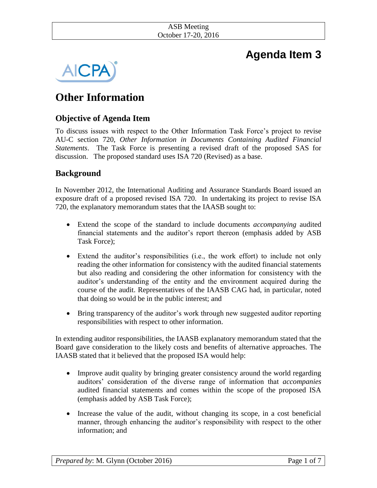#### ASB Meeting October 17-20, 2016

# **Agenda Item 3**



# **Other Information**

# **Objective of Agenda Item**

To discuss issues with respect to the Other Information Task Force's project to revise AU-C section 720, *Other Information in Documents Containing Audited Financial Statements*. The Task Force is presenting a revised draft of the proposed SAS for discussion. The proposed standard uses ISA 720 (Revised) as a base.

# **Background**

In November 2012, the International Auditing and Assurance Standards Board issued an exposure draft of a proposed revised ISA 720. In undertaking its project to revise ISA 720, the explanatory memorandum states that the IAASB sought to:

- Extend the scope of the standard to include documents *accompanying* audited financial statements and the auditor's report thereon (emphasis added by ASB Task Force);
- Extend the auditor's responsibilities (i.e., the work effort) to include not only reading the other information for consistency with the audited financial statements but also reading and considering the other information for consistency with the auditor's understanding of the entity and the environment acquired during the course of the audit. Representatives of the IAASB CAG had, in particular, noted that doing so would be in the public interest; and
- Bring transparency of the auditor's work through new suggested auditor reporting responsibilities with respect to other information.

In extending auditor responsibilities, the IAASB explanatory memorandum stated that the Board gave consideration to the likely costs and benefits of alternative approaches. The IAASB stated that it believed that the proposed ISA would help:

- Improve audit quality by bringing greater consistency around the world regarding auditors' consideration of the diverse range of information that *accompanies* audited financial statements and comes within the scope of the proposed ISA (emphasis added by ASB Task Force);
- Increase the value of the audit, without changing its scope, in a cost beneficial manner, through enhancing the auditor's responsibility with respect to the other information; and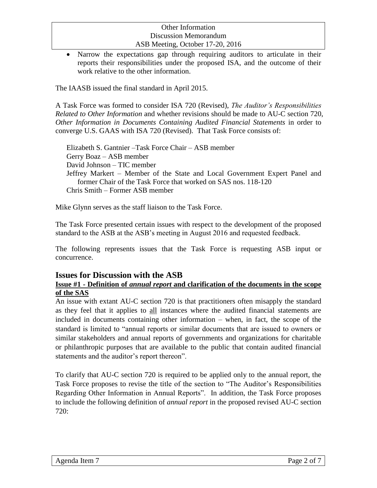• Narrow the expectations gap through requiring auditors to articulate in their reports their responsibilities under the proposed ISA, and the outcome of their work relative to the other information.

The IAASB issued the final standard in April 2015.

A Task Force was formed to consider ISA 720 (Revised), *The Auditor's Responsibilities Related to Other Information* and whether revisions should be made to AU-C section 720, *Other Information in Documents Containing Audited Financial Statements* in order to converge U.S. GAAS with ISA 720 (Revised). That Task Force consists of:

Elizabeth S. Gantnier –Task Force Chair – ASB member Gerry Boaz – ASB member David Johnson – TIC member Jeffrey Markert – Member of the State and Local Government Expert Panel and former Chair of the Task Force that worked on SAS nos. 118-120 Chris Smith – Former ASB member

Mike Glynn serves as the staff liaison to the Task Force.

The Task Force presented certain issues with respect to the development of the proposed standard to the ASB at the ASB's meeting in August 2016 and requested feedback.

The following represents issues that the Task Force is requesting ASB input or concurrence.

# **Issues for Discussion with the ASB**

#### **Issue #1 - Definition of** *annual report* **and clarification of the documents in the scope of the SAS**

An issue with extant AU-C section 720 is that practitioners often misapply the standard as they feel that it applies to all instances where the audited financial statements are included in documents containing other information – when, in fact, the scope of the standard is limited to "annual reports or similar documents that are issued to owners or similar stakeholders and annual reports of governments and organizations for charitable or philanthropic purposes that are available to the public that contain audited financial statements and the auditor's report thereon".

To clarify that AU-C section 720 is required to be applied only to the annual report, the Task Force proposes to revise the title of the section to "The Auditor's Responsibilities Regarding Other Information in Annual Reports". In addition, the Task Force proposes to include the following definition of *annual report* in the proposed revised AU-C section 720: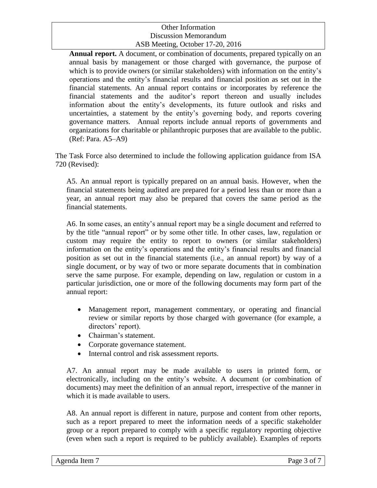**Annual report.** A document, or combination of documents, prepared typically on an annual basis by management or those charged with governance, the purpose of which is to provide owners (or similar stakeholders) with information on the entity's operations and the entity's financial results and financial position as set out in the financial statements. An annual report contains or incorporates by reference the financial statements and the auditor's report thereon and usually includes information about the entity's developments, its future outlook and risks and uncertainties, a statement by the entity's governing body, and reports covering governance matters. Annual reports include annual reports of governments and organizations for charitable or philanthropic purposes that are available to the public. (Ref: Para. A5–A9)

The Task Force also determined to include the following application guidance from ISA 720 (Revised):

A5. An annual report is typically prepared on an annual basis. However, when the financial statements being audited are prepared for a period less than or more than a year, an annual report may also be prepared that covers the same period as the financial statements.

A6. In some cases, an entity's annual report may be a single document and referred to by the title "annual report" or by some other title. In other cases, law, regulation or custom may require the entity to report to owners (or similar stakeholders) information on the entity's operations and the entity's financial results and financial position as set out in the financial statements (i.e., an annual report) by way of a single document, or by way of two or more separate documents that in combination serve the same purpose. For example, depending on law, regulation or custom in a particular jurisdiction, one or more of the following documents may form part of the annual report:

- Management report, management commentary, or operating and financial review or similar reports by those charged with governance (for example, a directors' report).
- Chairman's statement.
- Corporate governance statement.
- Internal control and risk assessment reports.

A7. An annual report may be made available to users in printed form, or electronically, including on the entity's website. A document (or combination of documents) may meet the definition of an annual report, irrespective of the manner in which it is made available to users.

A8. An annual report is different in nature, purpose and content from other reports, such as a report prepared to meet the information needs of a specific stakeholder group or a report prepared to comply with a specific regulatory reporting objective (even when such a report is required to be publicly available). Examples of reports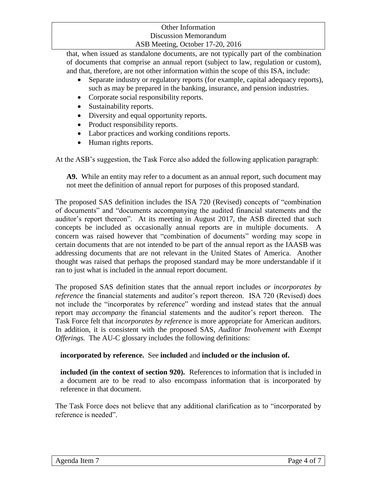that, when issued as standalone documents, are not typically part of the combination of documents that comprise an annual report (subject to law, regulation or custom), and that, therefore, are not other information within the scope of this ISA, include:

- Separate industry or regulatory reports (for example, capital adequacy reports), such as may be prepared in the banking, insurance, and pension industries.
- Corporate social responsibility reports.
- Sustainability reports.
- Diversity and equal opportunity reports.
- Product responsibility reports.
- Labor practices and working conditions reports.
- Human rights reports.

At the ASB's suggestion, the Task Force also added the following application paragraph:

**A9.** While an entity may refer to a document as an annual report, such document may not meet the definition of annual report for purposes of this proposed standard.

The proposed SAS definition includes the ISA 720 (Revised) concepts of "combination of documents" and "documents accompanying the audited financial statements and the auditor's report thereon". At its meeting in August 2017, the ASB directed that such concepts be included as occasionally annual reports are in multiple documents. A concern was raised however that "combination of documents" wording may scope in certain documents that are not intended to be part of the annual report as the IAASB was addressing documents that are not relevant in the United States of America. Another thought was raised that perhaps the proposed standard may be more understandable if it ran to just what is included in the annual report document.

The proposed SAS definition states that the annual report includes *or incorporates by reference* the financial statements and auditor's report thereon. ISA 720 (Revised) does not include the "incorporates by reference" wording and instead states that the annual report may *accompany* the financial statements and the auditor's report thereon. The Task Force felt that *incorporates by reference* is more appropriate for American auditors. In addition, it is consistent with the proposed SAS, *Auditor Involvement with Exempt Offerings.* The AU-C glossary includes the following definitions:

# **incorporated by reference.** See **included** and **included or the inclusion of.**

**included (in the context of section 920).** References to information that is included in a document are to be read to also encompass information that is incorporated by reference in that document.

The Task Force does not believe that any additional clarification as to "incorporated by reference is needed".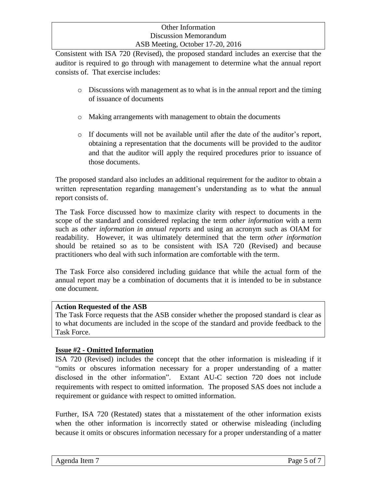Consistent with ISA 720 (Revised), the proposed standard includes an exercise that the auditor is required to go through with management to determine what the annual report consists of. That exercise includes:

- o Discussions with management as to what is in the annual report and the timing of issuance of documents
- o Making arrangements with management to obtain the documents
- o If documents will not be available until after the date of the auditor's report, obtaining a representation that the documents will be provided to the auditor and that the auditor will apply the required procedures prior to issuance of those documents.

The proposed standard also includes an additional requirement for the auditor to obtain a written representation regarding management's understanding as to what the annual report consists of.

The Task Force discussed how to maximize clarity with respect to documents in the scope of the standard and considered replacing the term *other information* with a term such as *other information in annual reports* and using an acronym such as OIAM for readability. However, it was ultimately determined that the term *other information*  should be retained so as to be consistent with ISA 720 (Revised) and because practitioners who deal with such information are comfortable with the term.

The Task Force also considered including guidance that while the actual form of the annual report may be a combination of documents that it is intended to be in substance one document.

#### **Action Requested of the ASB**

The Task Force requests that the ASB consider whether the proposed standard is clear as to what documents are included in the scope of the standard and provide feedback to the Task Force.

#### **Issue #2 - Omitted Information**

ISA 720 (Revised) includes the concept that the other information is misleading if it "omits or obscures information necessary for a proper understanding of a matter disclosed in the other information". Extant AU-C section 720 does not include requirements with respect to omitted information. The proposed SAS does not include a requirement or guidance with respect to omitted information.

Further, ISA 720 (Restated) states that a misstatement of the other information exists when the other information is incorrectly stated or otherwise misleading (including because it omits or obscures information necessary for a proper understanding of a matter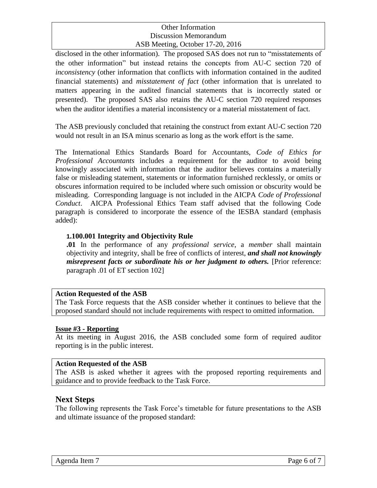disclosed in the other information). The proposed SAS does not run to "misstatements of the other information" but instead retains the concepts from AU-C section 720 of *inconsistency* (other information that conflicts with information contained in the audited financial statements) and *misstatement of fact* (other information that is unrelated to matters appearing in the audited financial statements that is incorrectly stated or presented). The proposed SAS also retains the AU-C section 720 required responses when the auditor identifies a material inconsistency or a material misstatement of fact.

The ASB previously concluded that retaining the construct from extant AU-C section 720 would not result in an ISA minus scenario as long as the work effort is the same.

The International Ethics Standards Board for Accountants, *Code of Ethics for Professional Accountants* includes a requirement for the auditor to avoid being knowingly associated with information that the auditor believes contains a materially false or misleading statement, statements or information furnished recklessly, or omits or obscures information required to be included where such omission or obscurity would be misleading. Corresponding language is not included in the AICPA *Code of Professional Conduct*. AICPA Professional Ethics Team staff advised that the following Code paragraph is considered to incorporate the essence of the IESBA standard (emphasis added):

### **1.100.001 Integrity and Objectivity Rule**

**.01** In the performance of any *professional service*, a *member* shall maintain objectivity and integrity, shall be free of conflicts of interest, *and shall not knowingly misrepresent facts or subordinate his or her judgment to others.* [Prior reference: paragraph .01 of ET section 102]

#### **Action Requested of the ASB**

The Task Force requests that the ASB consider whether it continues to believe that the proposed standard should not include requirements with respect to omitted information.

#### **Issue #3 - Reporting**

At its meeting in August 2016, the ASB concluded some form of required auditor reporting is in the public interest.

#### **Action Requested of the ASB**

The ASB is asked whether it agrees with the proposed reporting requirements and guidance and to provide feedback to the Task Force.

# **Next Steps**

The following represents the Task Force's timetable for future presentations to the ASB and ultimate issuance of the proposed standard: